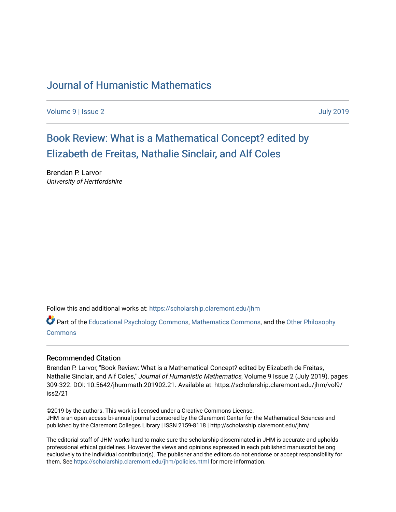## [Journal of Humanistic Mathematics](https://scholarship.claremont.edu/jhm)

[Volume 9](https://scholarship.claremont.edu/jhm/vol9) | [Issue 2](https://scholarship.claremont.edu/jhm/vol9/iss2) [July 2019](https://scholarship.claremont.edu/jhm/vol9/iss2) 

[Book Review: What is a Mathematical Concept? edited by](https://scholarship.claremont.edu/jhm/vol9/iss2/21)  [Elizabeth de Freitas, Nathalie Sinclair, and Alf Coles](https://scholarship.claremont.edu/jhm/vol9/iss2/21) 

Brendan P. Larvor University of Hertfordshire

Follow this and additional works at: [https://scholarship.claremont.edu/jhm](https://scholarship.claremont.edu/jhm?utm_source=scholarship.claremont.edu%2Fjhm%2Fvol9%2Fiss2%2F21&utm_medium=PDF&utm_campaign=PDFCoverPages)

Part of the [Educational Psychology Commons,](http://network.bepress.com/hgg/discipline/798?utm_source=scholarship.claremont.edu%2Fjhm%2Fvol9%2Fiss2%2F21&utm_medium=PDF&utm_campaign=PDFCoverPages) [Mathematics Commons](http://network.bepress.com/hgg/discipline/174?utm_source=scholarship.claremont.edu%2Fjhm%2Fvol9%2Fiss2%2F21&utm_medium=PDF&utm_campaign=PDFCoverPages), and the [Other Philosophy](http://network.bepress.com/hgg/discipline/537?utm_source=scholarship.claremont.edu%2Fjhm%2Fvol9%2Fiss2%2F21&utm_medium=PDF&utm_campaign=PDFCoverPages)  [Commons](http://network.bepress.com/hgg/discipline/537?utm_source=scholarship.claremont.edu%2Fjhm%2Fvol9%2Fiss2%2F21&utm_medium=PDF&utm_campaign=PDFCoverPages)

#### Recommended Citation

Brendan P. Larvor, "Book Review: What is a Mathematical Concept? edited by Elizabeth de Freitas, Nathalie Sinclair, and Alf Coles," Journal of Humanistic Mathematics, Volume 9 Issue 2 (July 2019), pages 309-322. DOI: 10.5642/jhummath.201902.21. Available at: https://scholarship.claremont.edu/jhm/vol9/ iss2/21

©2019 by the authors. This work is licensed under a Creative Commons License. JHM is an open access bi-annual journal sponsored by the Claremont Center for the Mathematical Sciences and published by the Claremont Colleges Library | ISSN 2159-8118 | http://scholarship.claremont.edu/jhm/

The editorial staff of JHM works hard to make sure the scholarship disseminated in JHM is accurate and upholds professional ethical guidelines. However the views and opinions expressed in each published manuscript belong exclusively to the individual contributor(s). The publisher and the editors do not endorse or accept responsibility for them. See<https://scholarship.claremont.edu/jhm/policies.html> for more information.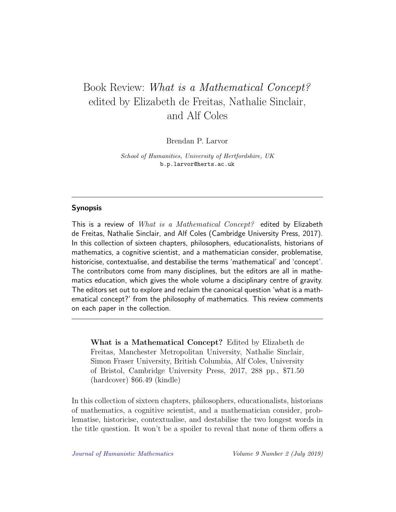# Book Review: What is a Mathematical Concept? edited by Elizabeth de Freitas, Nathalie Sinclair, and Alf Coles

Brendan P. Larvor

School of Humanities, University of Hertfordshire, UK b.p.larvor@herts.ac.uk

### Synopsis

This is a review of What is a Mathematical Concept? edited by Elizabeth de Freitas, Nathalie Sinclair, and Alf Coles (Cambridge University Press, 2017). In this collection of sixteen chapters, philosophers, educationalists, historians of mathematics, a cognitive scientist, and a mathematician consider, problematise, historicise, contextualise, and destabilise the terms 'mathematical' and 'concept'. The contributors come from many disciplines, but the editors are all in mathematics education, which gives the whole volume a disciplinary centre of gravity. The editors set out to explore and reclaim the canonical question 'what is a mathematical concept?' from the philosophy of mathematics. This review comments on each paper in the collection.

What is a Mathematical Concept? Edited by Elizabeth de Freitas, Manchester Metropolitan University, Nathalie Sinclair, Simon Fraser University, British Columbia, Alf Coles, University of Bristol, Cambridge University Press, 2017, 288 pp., \$71.50 (hardcover) \$66.49 (kindle)

In this collection of sixteen chapters, philosophers, educationalists, historians of mathematics, a cognitive scientist, and a mathematician consider, problematise, historicise, contextualise, and destabilise the two longest words in the title question. It won't be a spoiler to reveal that none of them offers a

[Journal of Humanistic Mathematics](http://scholarship.claremont.edu/jhm/) Volume 9 Number 2 (July 2019)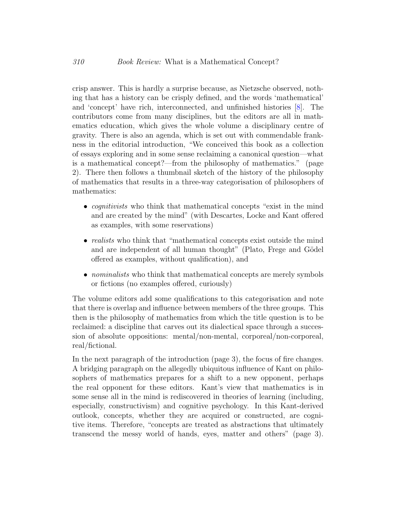crisp answer. This is hardly a surprise because, as Nietzsche observed, nothing that has a history can be crisply defined, and the words 'mathematical' and 'concept' have rich, interconnected, and unfinished histories [\[8\]](#page-14-0). The contributors come from many disciplines, but the editors are all in mathematics education, which gives the whole volume a disciplinary centre of gravity. There is also an agenda, which is set out with commendable frankness in the editorial introduction, "We conceived this book as a collection of essays exploring and in some sense reclaiming a canonical question—what is a mathematical concept?—from the philosophy of mathematics." (page 2). There then follows a thumbnail sketch of the history of the philosophy of mathematics that results in a three-way categorisation of philosophers of mathematics:

- *cognitivists* who think that mathematical concepts "exist in the mind" and are created by the mind" (with Descartes, Locke and Kant offered as examples, with some reservations)
- *realists* who think that "mathematical concepts exist outside the mind and are independent of all human thought" (Plato, Frege and Gödel offered as examples, without qualification), and
- *nominalists* who think that mathematical concepts are merely symbols or fictions (no examples offered, curiously)

The volume editors add some qualifications to this categorisation and note that there is overlap and influence between members of the three groups. This then is the philosophy of mathematics from which the title question is to be reclaimed: a discipline that carves out its dialectical space through a succession of absolute oppositions: mental/non-mental, corporeal/non-corporeal, real/fictional.

In the next paragraph of the introduction (page 3), the focus of fire changes. A bridging paragraph on the allegedly ubiquitous influence of Kant on philosophers of mathematics prepares for a shift to a new opponent, perhaps the real opponent for these editors. Kant's view that mathematics is in some sense all in the mind is rediscovered in theories of learning (including, especially, constructivism) and cognitive psychology. In this Kant-derived outlook, concepts, whether they are acquired or constructed, are cognitive items. Therefore, "concepts are treated as abstractions that ultimately transcend the messy world of hands, eyes, matter and others" (page 3).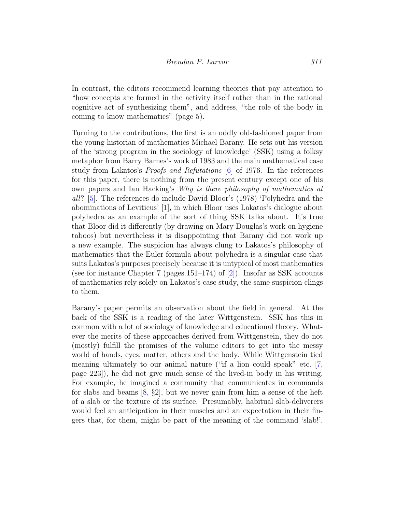In contrast, the editors recommend learning theories that pay attention to "how concepts are formed in the activity itself rather than in the rational cognitive act of synthesizing them", and address, "the role of the body in coming to know mathematics" (page 5).

Turning to the contributions, the first is an oddly old-fashioned paper from the young historian of mathematics Michael Barany. He sets out his version of the 'strong program in the sociology of knowledge' (SSK) using a folksy metaphor from Barry Barnes's work of 1983 and the main mathematical case study from Lakatos's Proofs and Refutations [\[6\]](#page-14-1) of 1976. In the references for this paper, there is nothing from the present century except one of his own papers and Ian Hacking's Why is there philosophy of mathematics at all? [\[5\]](#page-14-2). The references do include David Bloor's (1978) 'Polyhedra and the abominations of Leviticus' [\[1\]](#page-13-0), in which Bloor uses Lakatos's dialogue about polyhedra as an example of the sort of thing SSK talks about. It's true that Bloor did it differently (by drawing on Mary Douglas's work on hygiene taboos) but nevertheless it is disappointing that Barany did not work up a new example. The suspicion has always clung to Lakatos's philosophy of mathematics that the Euler formula about polyhedra is a singular case that suits Lakatos's purposes precisely because it is untypical of most mathematics (see for instance Chapter 7 (pages  $151-174$ ) of  $[2]$ ). Insofar as SSK accounts of mathematics rely solely on Lakatos's case study, the same suspicion clings to them.

Barany's paper permits an observation about the field in general. At the back of the SSK is a reading of the later Wittgenstein. SSK has this in common with a lot of sociology of knowledge and educational theory. Whatever the merits of these approaches derived from Wittgenstein, they do not (mostly) fulfill the promises of the volume editors to get into the messy world of hands, eyes, matter, others and the body. While Wittgenstein tied meaning ultimately to our animal nature ("if a lion could speak" etc. [\[7,](#page-14-4) page 223]), he did not give much sense of the lived-in body in his writing. For example, he imagined a community that communicates in commands for slabs and beams  $[8, \S2]$  $[8, \S2]$ , but we never gain from him a sense of the heft of a slab or the texture of its surface. Presumably, habitual slab-deliverers would feel an anticipation in their muscles and an expectation in their fingers that, for them, might be part of the meaning of the command 'slab!'.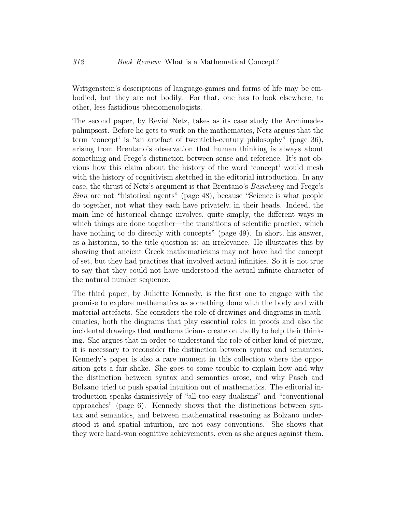Wittgenstein's descriptions of language-games and forms of life may be embodied, but they are not bodily. For that, one has to look elsewhere, to other, less fastidious phenomenologists.

The second paper, by Reviel Netz, takes as its case study the Archimedes palimpsest. Before he gets to work on the mathematics, Netz argues that the term 'concept' is "an artefact of twentieth-century philosophy" (page 36), arising from Brentano's observation that human thinking is always about something and Frege's distinction between sense and reference. It's not obvious how this claim about the history of the word 'concept' would mesh with the history of cognitivism sketched in the editorial introduction. In any case, the thrust of Netz's argument is that Brentano's Beziehung and Frege's Sinn are not "historical agents" (page 48), because "Science is what people do together, not what they each have privately, in their heads. Indeed, the main line of historical change involves, quite simply, the different ways in which things are done together—the transitions of scientific practice, which have nothing to do directly with concepts" (page 49). In short, his answer, as a historian, to the title question is: an irrelevance. He illustrates this by showing that ancient Greek mathematicians may not have had the concept of set, but they had practices that involved actual infinities. So it is not true to say that they could not have understood the actual infinite character of the natural number sequence.

The third paper, by Juliette Kennedy, is the first one to engage with the promise to explore mathematics as something done with the body and with material artefacts. She considers the role of drawings and diagrams in mathematics, both the diagrams that play essential roles in proofs and also the incidental drawings that mathematicians create on the fly to help their thinking. She argues that in order to understand the role of either kind of picture, it is necessary to reconsider the distinction between syntax and semantics. Kennedy's paper is also a rare moment in this collection where the opposition gets a fair shake. She goes to some trouble to explain how and why the distinction between syntax and semantics arose, and why Pasch and Bolzano tried to push spatial intuition out of mathematics. The editorial introduction speaks dismissively of "all-too-easy dualisms" and "conventional approaches" (page 6). Kennedy shows that the distinctions between syntax and semantics, and between mathematical reasoning as Bolzano understood it and spatial intuition, are not easy conventions. She shows that they were hard-won cognitive achievements, even as she argues against them.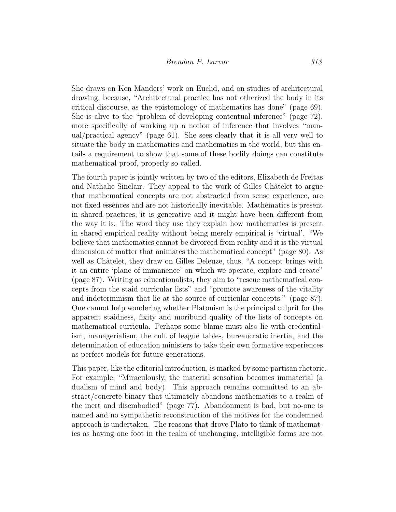She draws on Ken Manders' work on Euclid, and on studies of architectural drawing, because, "Architectural practice has not otherized the body in its critical discourse, as the epistemology of mathematics has done" (page 69). She is alive to the "problem of developing contentual inference" (page 72), more specifically of working up a notion of inference that involves "manual/practical agency" (page 61). She sees clearly that it is all very well to situate the body in mathematics and mathematics in the world, but this entails a requirement to show that some of these bodily doings can constitute mathematical proof, properly so called.

The fourth paper is jointly written by two of the editors, Elizabeth de Freitas and Nathalie Sinclair. They appeal to the work of Gilles Châtelet to argue that mathematical concepts are not abstracted from sense experience, are not fixed essences and are not historically inevitable. Mathematics is present in shared practices, it is generative and it might have been different from the way it is. The word they use they explain how mathematics is present in shared empirical reality without being merely empirical is 'virtual'. "We believe that mathematics cannot be divorced from reality and it is the virtual dimension of matter that animates the mathematical concept" (page 80). As well as Châtelet, they draw on Gilles Deleuze, thus, "A concept brings with it an entire 'plane of immanence' on which we operate, explore and create" (page 87). Writing as educationalists, they aim to "rescue mathematical concepts from the staid curricular lists" and "promote awareness of the vitality and indeterminism that lie at the source of curricular concepts." (page 87). One cannot help wondering whether Platonism is the principal culprit for the apparent staidness, fixity and moribund quality of the lists of concepts on mathematical curricula. Perhaps some blame must also lie with credentialism, managerialism, the cult of league tables, bureaucratic inertia, and the determination of education ministers to take their own formative experiences as perfect models for future generations.

This paper, like the editorial introduction, is marked by some partisan rhetoric. For example, "Miraculously, the material sensation becomes immaterial (a dualism of mind and body). This approach remains committed to an abstract/concrete binary that ultimately abandons mathematics to a realm of the inert and disembodied" (page 77). Abandonment is bad, but no-one is named and no sympathetic reconstruction of the motives for the condemned approach is undertaken. The reasons that drove Plato to think of mathematics as having one foot in the realm of unchanging, intelligible forms are not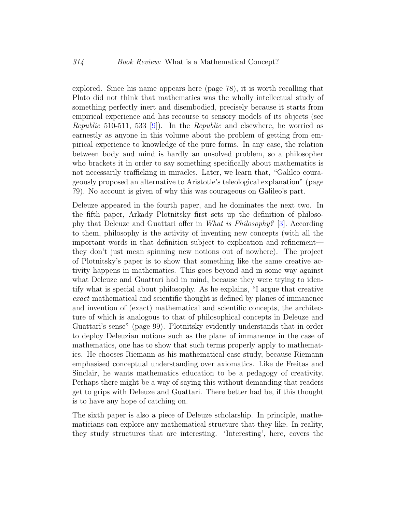explored. Since his name appears here (page 78), it is worth recalling that Plato did not think that mathematics was the wholly intellectual study of something perfectly inert and disembodied, precisely because it starts from empirical experience and has recourse to sensory models of its objects (see *Republic* 510-511, 533 [\[9\]](#page-14-5)). In the *Republic* and elsewhere, he worried as earnestly as anyone in this volume about the problem of getting from empirical experience to knowledge of the pure forms. In any case, the relation between body and mind is hardly an unsolved problem, so a philosopher who brackets it in order to say something specifically about mathematics is not necessarily trafficking in miracles. Later, we learn that, "Galileo courageously proposed an alternative to Aristotle's teleological explanation" (page 79). No account is given of why this was courageous on Galileo's part.

Deleuze appeared in the fourth paper, and he dominates the next two. In the fifth paper, Arkady Plotnitsky first sets up the definition of philosophy that Deleuze and Guattari offer in What is Philosophy? [\[3\]](#page-14-6). According to them, philosophy is the activity of inventing new concepts (with all the important words in that definition subject to explication and refinement they don't just mean spinning new notions out of nowhere). The project of Plotnitsky's paper is to show that something like the same creative activity happens in mathematics. This goes beyond and in some way against what Deleuze and Guattari had in mind, because they were trying to identify what is special about philosophy. As he explains, "I argue that creative exact mathematical and scientific thought is defined by planes of immanence and invention of (exact) mathematical and scientific concepts, the architecture of which is analogous to that of philosophical concepts in Deleuze and Guattari's sense" (page 99). Plotnitsky evidently understands that in order to deploy Deleuzian notions such as the plane of immanence in the case of mathematics, one has to show that such terms properly apply to mathematics. He chooses Riemann as his mathematical case study, because Riemann emphasised conceptual understanding over axiomatics. Like de Freitas and Sinclair, he wants mathematics education to be a pedagogy of creativity. Perhaps there might be a way of saying this without demanding that readers get to grips with Deleuze and Guattari. There better had be, if this thought is to have any hope of catching on.

The sixth paper is also a piece of Deleuze scholarship. In principle, mathematicians can explore any mathematical structure that they like. In reality, they study structures that are interesting. 'Interesting', here, covers the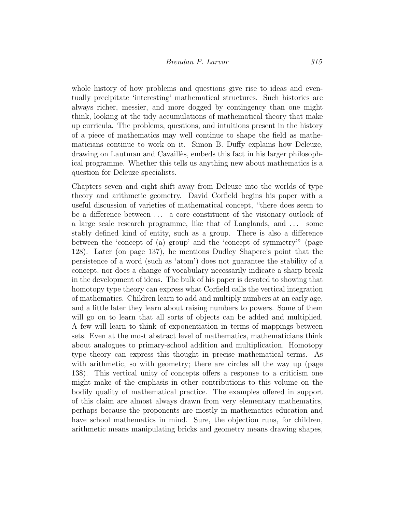whole history of how problems and questions give rise to ideas and eventually precipitate 'interesting' mathematical structures. Such histories are always richer, messier, and more dogged by contingency than one might think, looking at the tidy accumulations of mathematical theory that make up curricula. The problems, questions, and intuitions present in the history of a piece of mathematics may well continue to shape the field as mathematicians continue to work on it. Simon B. Duffy explains how Deleuze, drawing on Lautman and Cavaill`es, embeds this fact in his larger philosophical programme. Whether this tells us anything new about mathematics is a question for Deleuze specialists.

Chapters seven and eight shift away from Deleuze into the worlds of type theory and arithmetic geometry. David Corfield begins his paper with a useful discussion of varieties of mathematical concept, "there does seem to be a difference between . . . a core constituent of the visionary outlook of a large scale research programme, like that of Langlands, and . . . some stably defined kind of entity, such as a group. There is also a difference between the 'concept of (a) group' and the 'concept of symmetry'" (page 128). Later (on page 137), he mentions Dudley Shapere's point that the persistence of a word (such as 'atom') does not guarantee the stability of a concept, nor does a change of vocabulary necessarily indicate a sharp break in the development of ideas. The bulk of his paper is devoted to showing that homotopy type theory can express what Corfield calls the vertical integration of mathematics. Children learn to add and multiply numbers at an early age, and a little later they learn about raising numbers to powers. Some of them will go on to learn that all sorts of objects can be added and multiplied. A few will learn to think of exponentiation in terms of mappings between sets. Even at the most abstract level of mathematics, mathematicians think about analogues to primary-school addition and multiplication. Homotopy type theory can express this thought in precise mathematical terms. As with arithmetic, so with geometry; there are circles all the way up (page 138). This vertical unity of concepts offers a response to a criticism one might make of the emphasis in other contributions to this volume on the bodily quality of mathematical practice. The examples offered in support of this claim are almost always drawn from very elementary mathematics, perhaps because the proponents are mostly in mathematics education and have school mathematics in mind. Sure, the objection runs, for children, arithmetic means manipulating bricks and geometry means drawing shapes,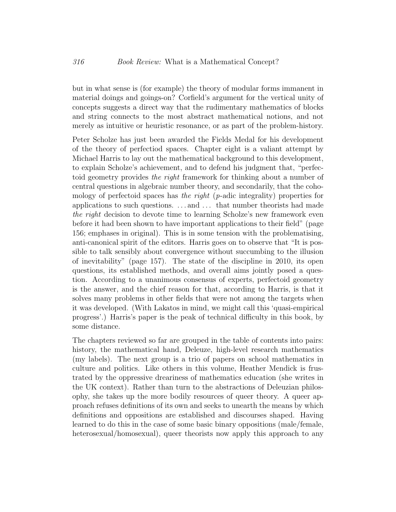but in what sense is (for example) the theory of modular forms immanent in material doings and goings-on? Corfield's argument for the vertical unity of concepts suggests a direct way that the rudimentary mathematics of blocks and string connects to the most abstract mathematical notions, and not merely as intuitive or heuristic resonance, or as part of the problem-history.

Peter Scholze has just been awarded the Fields Medal for his development of the theory of perfectiod spaces. Chapter eight is a valiant attempt by Michael Harris to lay out the mathematical background to this development, to explain Scholze's achievement, and to defend his judgment that, "perfectoid geometry provides the right framework for thinking about a number of central questions in algebraic number theory, and secondarily, that the cohomology of perfectoid spaces has the right (p-adic integrality) properties for applications to such questions. . . . and . . . that number theorists had made the right decision to devote time to learning Scholze's new framework even before it had been shown to have important applications to their field" (page 156; emphases in original). This is in some tension with the problematising, anti-canonical spirit of the editors. Harris goes on to observe that "It is possible to talk sensibly about convergence without succumbing to the illusion of inevitability" (page 157). The state of the discipline in 2010, its open questions, its established methods, and overall aims jointly posed a question. According to a unanimous consensus of experts, perfectoid geometry is the answer, and the chief reason for that, according to Harris, is that it solves many problems in other fields that were not among the targets when it was developed. (With Lakatos in mind, we might call this 'quasi-empirical progress'.) Harris's paper is the peak of technical difficulty in this book, by some distance.

The chapters reviewed so far are grouped in the table of contents into pairs: history, the mathematical hand, Deleuze, high-level research mathematics (my labels). The next group is a trio of papers on school mathematics in culture and politics. Like others in this volume, Heather Mendick is frustrated by the oppressive dreariness of mathematics education (she writes in the UK context). Rather than turn to the abstractions of Deleuzian philosophy, she takes up the more bodily resources of queer theory. A queer approach refuses definitions of its own and seeks to unearth the means by which definitions and oppositions are established and discourses shaped. Having learned to do this in the case of some basic binary oppositions (male/female, heterosexual/homosexual), queer theorists now apply this approach to any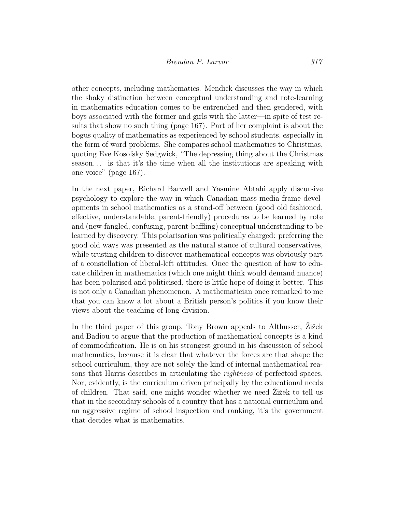other concepts, including mathematics. Mendick discusses the way in which the shaky distinction between conceptual understanding and rote-learning in mathematics education comes to be entrenched and then gendered, with boys associated with the former and girls with the latter—in spite of test results that show no such thing (page 167). Part of her complaint is about the bogus quality of mathematics as experienced by school students, especially in the form of word problems. She compares school mathematics to Christmas, quoting Eve Kosofsky Sedgwick, "The depressing thing about the Christmas season. . . is that it's the time when all the institutions are speaking with one voice" (page 167).

In the next paper, Richard Barwell and Yasmine Abtahi apply discursive psychology to explore the way in which Canadian mass media frame developments in school mathematics as a stand-off between (good old fashioned, effective, understandable, parent-friendly) procedures to be learned by rote and (new-fangled, confusing, parent-baffling) conceptual understanding to be learned by discovery. This polarisation was politically charged: preferring the good old ways was presented as the natural stance of cultural conservatives, while trusting children to discover mathematical concepts was obviously part of a constellation of liberal-left attitudes. Once the question of how to educate children in mathematics (which one might think would demand nuance) has been polarised and politicised, there is little hope of doing it better. This is not only a Canadian phenomenon. A mathematician once remarked to me that you can know a lot about a British person's politics if you know their views about the teaching of long division.

In the third paper of this group, Tony Brown appeals to Althusser, Zižek and Badiou to argue that the production of mathematical concepts is a kind of commodification. He is on his strongest ground in his discussion of school mathematics, because it is clear that whatever the forces are that shape the school curriculum, they are not solely the kind of internal mathematical reasons that Harris describes in articulating the *rightness* of perfectoid spaces. Nor, evidently, is the curriculum driven principally by the educational needs of children. That said, one might wonder whether we need Zižek to tell us that in the secondary schools of a country that has a national curriculum and an aggressive regime of school inspection and ranking, it's the government that decides what is mathematics.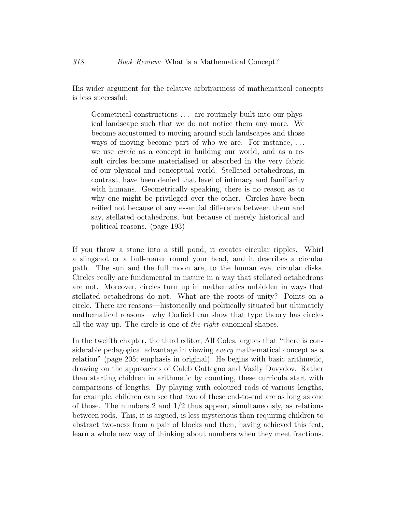His wider argument for the relative arbitrariness of mathematical concepts is less successful:

Geometrical constructions ... are routinely built into our physical landscape such that we do not notice them any more. We become accustomed to moving around such landscapes and those ways of moving become part of who we are. For instance, ... we use circle as a concept in building our world, and as a result circles become materialised or absorbed in the very fabric of our physical and conceptual world. Stellated octahedrons, in contrast, have been denied that level of intimacy and familiarity with humans. Geometrically speaking, there is no reason as to why one might be privileged over the other. Circles have been reified not because of any essential difference between them and say, stellated octahedrons, but because of merely historical and political reasons. (page 193)

If you throw a stone into a still pond, it creates circular ripples. Whirl a slingshot or a bull-roarer round your head, and it describes a circular path. The sun and the full moon are, to the human eye, circular disks. Circles really are fundamental in nature in a way that stellated octahedrons are not. Moreover, circles turn up in mathematics unbidden in ways that stellated octahedrons do not. What are the roots of unity? Points on a circle. There are reasons—historically and politically situated but ultimately mathematical reasons—why Corfield can show that type theory has circles all the way up. The circle is one of the right canonical shapes.

In the twelfth chapter, the third editor, Alf Coles, argues that "there is considerable pedagogical advantage in viewing every mathematical concept as a relation" (page 205; emphasis in original). He begins with basic arithmetic, drawing on the approaches of Caleb Gattegno and Vasily Davydov. Rather than starting children in arithmetic by counting, these curricula start with comparisons of lengths. By playing with coloured rods of various lengths, for example, children can see that two of these end-to-end are as long as one of those. The numbers 2 and  $1/2$  thus appear, simultaneously, as relations between rods. This, it is argued, is less mysterious than requiring children to abstract two-ness from a pair of blocks and then, having achieved this feat, learn a whole new way of thinking about numbers when they meet fractions.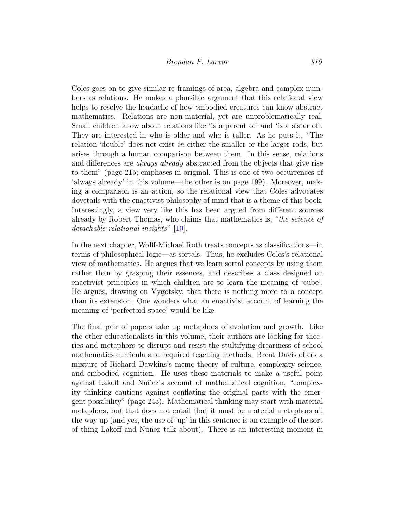Coles goes on to give similar re-framings of area, algebra and complex numbers as relations. He makes a plausible argument that this relational view helps to resolve the headache of how embodied creatures can know abstract mathematics. Relations are non-material, yet are unproblematically real. Small children know about relations like 'is a parent of' and 'is a sister of'. They are interested in who is older and who is taller. As he puts it, "The relation 'double' does not exist in either the smaller or the larger rods, but arises through a human comparison between them. In this sense, relations and differences are *always already* abstracted from the objects that give rise to them" (page 215; emphases in original. This is one of two occurrences of 'always already' in this volume—the other is on page 199). Moreover, making a comparison is an action, so the relational view that Coles advocates dovetails with the enactivist philosophy of mind that is a theme of this book. Interestingly, a view very like this has been argued from different sources already by Robert Thomas, who claims that mathematics is, "the science of detachable relational insights" [\[10\]](#page-14-7).

In the next chapter, Wolff-Michael Roth treats concepts as classifications—in terms of philosophical logic—as sortals. Thus, he excludes Coles's relational view of mathematics. He argues that we learn sortal concepts by using them rather than by grasping their essences, and describes a class designed on enactivist principles in which children are to learn the meaning of 'cube'. He argues, drawing on Vygotsky, that there is nothing more to a concept than its extension. One wonders what an enactivist account of learning the meaning of 'perfectoid space' would be like.

The final pair of papers take up metaphors of evolution and growth. Like the other educationalists in this volume, their authors are looking for theories and metaphors to disrupt and resist the stultifying dreariness of school mathematics curricula and required teaching methods. Brent Davis offers a mixture of Richard Dawkins's meme theory of culture, complexity science, and embodied cognition. He uses these materials to make a useful point against Lakoff and Nuñez's account of mathematical cognition, "complexity thinking cautions against conflating the original parts with the emergent possibility" (page 243). Mathematical thinking may start with material metaphors, but that does not entail that it must be material metaphors all the way up (and yes, the use of 'up' in this sentence is an example of the sort of thing Lakoff and Nuñez talk about). There is an interesting moment in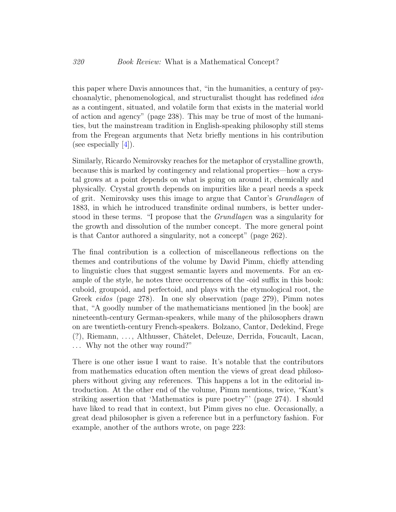this paper where Davis announces that, "in the humanities, a century of psychoanalytic, phenomenological, and structuralist thought has redefined idea as a contingent, situated, and volatile form that exists in the material world of action and agency" (page 238). This may be true of most of the humanities, but the mainstream tradition in English-speaking philosophy still stems from the Fregean arguments that Netz briefly mentions in his contribution (see especially  $|4|$ ).

Similarly, Ricardo Nemirovsky reaches for the metaphor of crystalline growth, because this is marked by contingency and relational properties—how a crystal grows at a point depends on what is going on around it, chemically and physically. Crystal growth depends on impurities like a pearl needs a speck of grit. Nemirovsky uses this image to argue that Cantor's Grundlagen of 1883, in which he introduced transfinite ordinal numbers, is better understood in these terms. "I propose that the *Grundlagen* was a singularity for the growth and dissolution of the number concept. The more general point is that Cantor authored a singularity, not a concept" (page 262).

The final contribution is a collection of miscellaneous reflections on the themes and contributions of the volume by David Pimm, chiefly attending to linguistic clues that suggest semantic layers and movements. For an example of the style, he notes three occurrences of the -oid suffix in this book: cuboid, groupoid, and perfectoid, and plays with the etymological root, the Greek eidos (page 278). In one sly observation (page 279), Pimm notes that, "A goodly number of the mathematicians mentioned [in the book] are nineteenth-century German-speakers, while many of the philosophers drawn on are twentieth-century French-speakers. Bolzano, Cantor, Dedekind, Frege (?), Riemann, . . . , Althusser, Chˆatelet, Deleuze, Derrida, Foucault, Lacan, . . . Why not the other way round?"

There is one other issue I want to raise. It's notable that the contributors from mathematics education often mention the views of great dead philosophers without giving any references. This happens a lot in the editorial introduction. At the other end of the volume, Pimm mentions, twice, "Kant's striking assertion that 'Mathematics is pure poetry"' (page 274). I should have liked to read that in context, but Pimm gives no clue. Occasionally, a great dead philosopher is given a reference but in a perfunctory fashion. For example, another of the authors wrote, on page 223: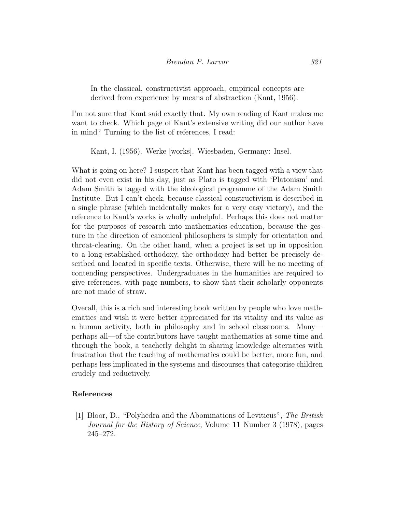In the classical, constructivist approach, empirical concepts are derived from experience by means of abstraction (Kant, 1956).

I'm not sure that Kant said exactly that. My own reading of Kant makes me want to check. Which page of Kant's extensive writing did our author have in mind? Turning to the list of references, I read:

Kant, I. (1956). Werke [works]. Wiesbaden, Germany: Insel.

What is going on here? I suspect that Kant has been tagged with a view that did not even exist in his day, just as Plato is tagged with 'Platonism' and Adam Smith is tagged with the ideological programme of the Adam Smith Institute. But I can't check, because classical constructivism is described in a single phrase (which incidentally makes for a very easy victory), and the reference to Kant's works is wholly unhelpful. Perhaps this does not matter for the purposes of research into mathematics education, because the gesture in the direction of canonical philosophers is simply for orientation and throat-clearing. On the other hand, when a project is set up in opposition to a long-established orthodoxy, the orthodoxy had better be precisely described and located in specific texts. Otherwise, there will be no meeting of contending perspectives. Undergraduates in the humanities are required to give references, with page numbers, to show that their scholarly opponents are not made of straw.

Overall, this is a rich and interesting book written by people who love mathematics and wish it were better appreciated for its vitality and its value as a human activity, both in philosophy and in school classrooms. Many perhaps all—of the contributors have taught mathematics at some time and through the book, a teacherly delight in sharing knowledge alternates with frustration that the teaching of mathematics could be better, more fun, and perhaps less implicated in the systems and discourses that categorise children crudely and reductively.

### References

<span id="page-13-0"></span>[1] Bloor, D., "Polyhedra and the Abominations of Leviticus", The British Journal for the History of Science, Volume 11 Number 3 (1978), pages 245–272.